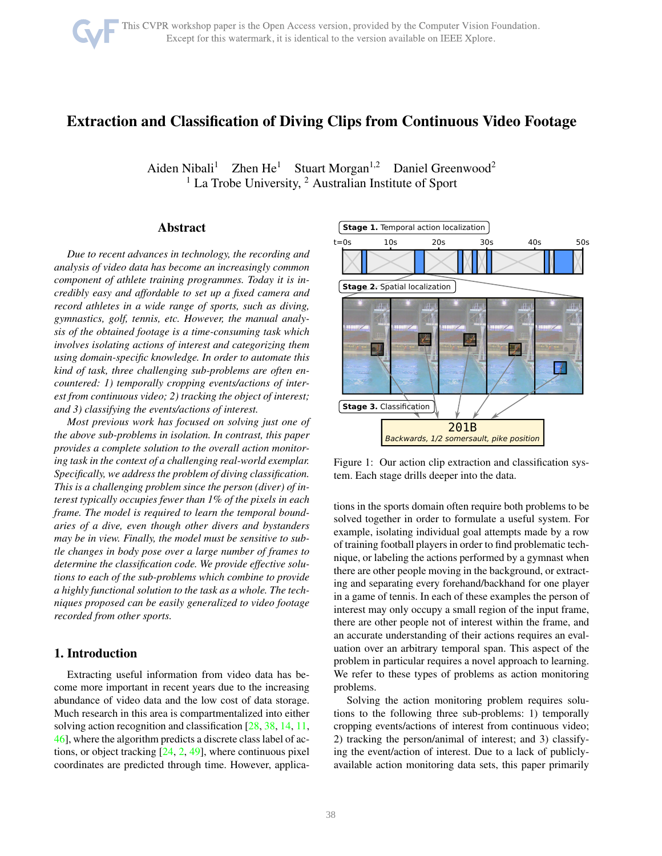# Extraction and Classification of Diving Clips from Continuous Video Footage

Aiden Nibali<sup>1</sup> Zhen He<sup>1</sup> Stuart Morgan<sup>1,2</sup> Daniel Greenwood<sup>2</sup>  $1$  La Trobe University,  $2$  Australian Institute of Sport

# Abstract

*Due to recent advances in technology, the recording and analysis of video data has become an increasingly common component of athlete training programmes. Today it is incredibly easy and affordable to set up a fixed camera and record athletes in a wide range of sports, such as diving, gymnastics, golf, tennis, etc. However, the manual analysis of the obtained footage is a time-consuming task which involves isolating actions of interest and categorizing them using domain-specific knowledge. In order to automate this kind of task, three challenging sub-problems are often encountered: 1) temporally cropping events/actions of interest from continuous video; 2) tracking the object of interest; and 3) classifying the events/actions of interest.*

*Most previous work has focused on solving just one of the above sub-problems in isolation. In contrast, this paper provides a complete solution to the overall action monitoring task in the context of a challenging real-world exemplar. Specifically, we address the problem of diving classification. This is a challenging problem since the person (diver) of interest typically occupies fewer than 1% of the pixels in each frame. The model is required to learn the temporal boundaries of a dive, even though other divers and bystanders may be in view. Finally, the model must be sensitive to subtle changes in body pose over a large number of frames to determine the classification code. We provide effective solutions to each of the sub-problems which combine to provide a highly functional solution to the task as a whole. The techniques proposed can be easily generalized to video footage recorded from other sports.*

# 1. Introduction

Extracting useful information from video data has become more important in recent years due to the increasing abundance of video data and the low cost of data storage. Much research in this area is compartmentalized into either solving action recognition and classification [\[28,](#page-9-0) [38,](#page-9-1) [14,](#page-8-0) [11,](#page-8-1) [46\]](#page-9-2), where the algorithm predicts a discrete class label of actions, or object tracking  $[24, 2, 49]$  $[24, 2, 49]$  $[24, 2, 49]$  $[24, 2, 49]$ , where continuous pixel coordinates are predicted through time. However, applica-

<span id="page-0-0"></span>

Figure 1: Our action clip extraction and classification system. Each stage drills deeper into the data.

tions in the sports domain often require both problems to be solved together in order to formulate a useful system. For example, isolating individual goal attempts made by a row of training football players in order to find problematic technique, or labeling the actions performed by a gymnast when there are other people moving in the background, or extracting and separating every forehand/backhand for one player in a game of tennis. In each of these examples the person of interest may only occupy a small region of the input frame, there are other people not of interest within the frame, and an accurate understanding of their actions requires an evaluation over an arbitrary temporal span. This aspect of the problem in particular requires a novel approach to learning. We refer to these types of problems as action monitoring problems.

Solving the action monitoring problem requires solutions to the following three sub-problems: 1) temporally cropping events/actions of interest from continuous video; 2) tracking the person/animal of interest; and 3) classifying the event/action of interest. Due to a lack of publiclyavailable action monitoring data sets, this paper primarily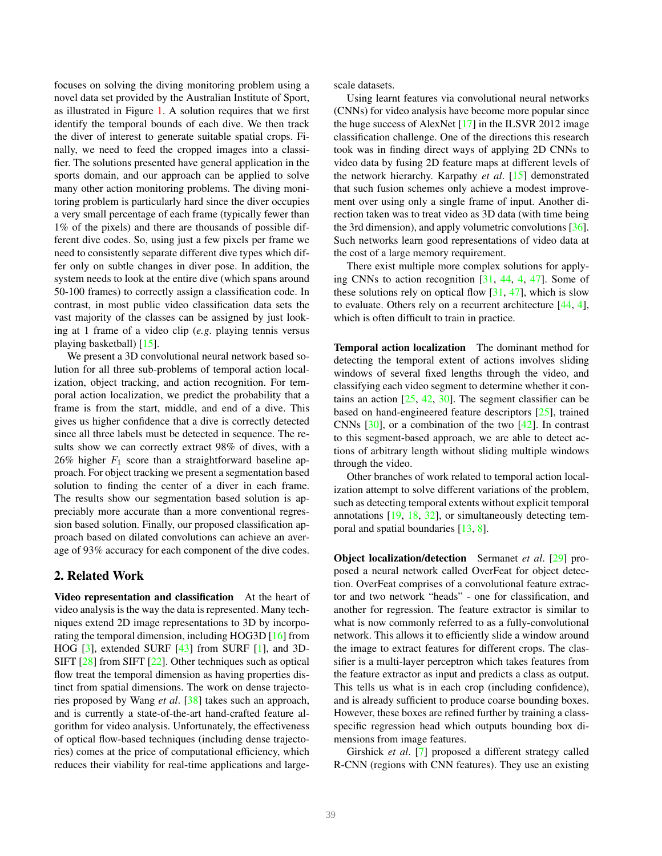focuses on solving the diving monitoring problem using a novel data set provided by the Australian Institute of Sport, as illustrated in Figure [1.](#page-0-0) A solution requires that we first identify the temporal bounds of each dive. We then track the diver of interest to generate suitable spatial crops. Finally, we need to feed the cropped images into a classifier. The solutions presented have general application in the sports domain, and our approach can be applied to solve many other action monitoring problems. The diving monitoring problem is particularly hard since the diver occupies a very small percentage of each frame (typically fewer than 1% of the pixels) and there are thousands of possible different dive codes. So, using just a few pixels per frame we need to consistently separate different dive types which differ only on subtle changes in diver pose. In addition, the system needs to look at the entire dive (which spans around 50-100 frames) to correctly assign a classification code. In contrast, in most public video classification data sets the vast majority of the classes can be assigned by just looking at 1 frame of a video clip (*e.g*. playing tennis versus playing basketball) [\[15\]](#page-8-3).

We present a 3D convolutional neural network based solution for all three sub-problems of temporal action localization, object tracking, and action recognition. For temporal action localization, we predict the probability that a frame is from the start, middle, and end of a dive. This gives us higher confidence that a dive is correctly detected since all three labels must be detected in sequence. The results show we can correctly extract 98% of dives, with a 26% higher  $F_1$  score than a straightforward baseline approach. For object tracking we present a segmentation based solution to finding the center of a diver in each frame. The results show our segmentation based solution is appreciably more accurate than a more conventional regression based solution. Finally, our proposed classification approach based on dilated convolutions can achieve an average of 93% accuracy for each component of the dive codes.

# 2. Related Work

Video representation and classification At the heart of video analysis is the way the data is represented. Many techniques extend 2D image representations to 3D by incorporating the temporal dimension, including HOG3D [\[16\]](#page-8-4) from HOG [\[3\]](#page-8-5), extended SURF [\[43\]](#page-9-4) from SURF [\[1\]](#page-8-6), and 3D-SIFT [\[28\]](#page-9-0) from SIFT [\[22\]](#page-8-7). Other techniques such as optical flow treat the temporal dimension as having properties distinct from spatial dimensions. The work on dense trajectories proposed by Wang *et al*. [\[38\]](#page-9-1) takes such an approach, and is currently a state-of-the-art hand-crafted feature algorithm for video analysis. Unfortunately, the effectiveness of optical flow-based techniques (including dense trajectories) comes at the price of computational efficiency, which reduces their viability for real-time applications and largescale datasets.

Using learnt features via convolutional neural networks (CNNs) for video analysis have become more popular since the huge success of AlexNet  $[17]$  in the ILSVR 2012 image classification challenge. One of the directions this research took was in finding direct ways of applying 2D CNNs to video data by fusing 2D feature maps at different levels of the network hierarchy. Karpathy *et al*. [\[15\]](#page-8-3) demonstrated that such fusion schemes only achieve a modest improvement over using only a single frame of input. Another direction taken was to treat video as 3D data (with time being the 3rd dimension), and apply volumetric convolutions [\[36\]](#page-9-5). Such networks learn good representations of video data at the cost of a large memory requirement.

There exist multiple more complex solutions for applying CNNs to action recognition [\[31,](#page-9-6) [44,](#page-9-7) [4,](#page-8-9) [47\]](#page-9-8). Some of these solutions rely on optical flow  $[31, 47]$  $[31, 47]$ , which is slow to evaluate. Others rely on a recurrent architecture [\[44,](#page-9-7) [4\]](#page-8-9), which is often difficult to train in practice.

Temporal action localization The dominant method for detecting the temporal extent of actions involves sliding windows of several fixed lengths through the video, and classifying each video segment to determine whether it contains an action [\[25,](#page-9-9) [42,](#page-9-10) [30\]](#page-9-11). The segment classifier can be based on hand-engineered feature descriptors [\[25\]](#page-9-9), trained CNNs  $[30]$ , or a combination of the two  $[42]$ . In contrast to this segment-based approach, we are able to detect actions of arbitrary length without sliding multiple windows through the video.

Other branches of work related to temporal action localization attempt to solve different variations of the problem, such as detecting temporal extents without explicit temporal annotations [\[19,](#page-8-10) [18,](#page-8-11) [32\]](#page-9-12), or simultaneously detecting temporal and spatial boundaries [\[13,](#page-8-12) [8\]](#page-8-13).

Object localization/detection Sermanet *et al*. [\[29\]](#page-9-13) proposed a neural network called OverFeat for object detection. OverFeat comprises of a convolutional feature extractor and two network "heads" - one for classification, and another for regression. The feature extractor is similar to what is now commonly referred to as a fully-convolutional network. This allows it to efficiently slide a window around the image to extract features for different crops. The classifier is a multi-layer perceptron which takes features from the feature extractor as input and predicts a class as output. This tells us what is in each crop (including confidence), and is already sufficient to produce coarse bounding boxes. However, these boxes are refined further by training a classspecific regression head which outputs bounding box dimensions from image features.

Girshick *et al*. [\[7\]](#page-8-14) proposed a different strategy called R-CNN (regions with CNN features). They use an existing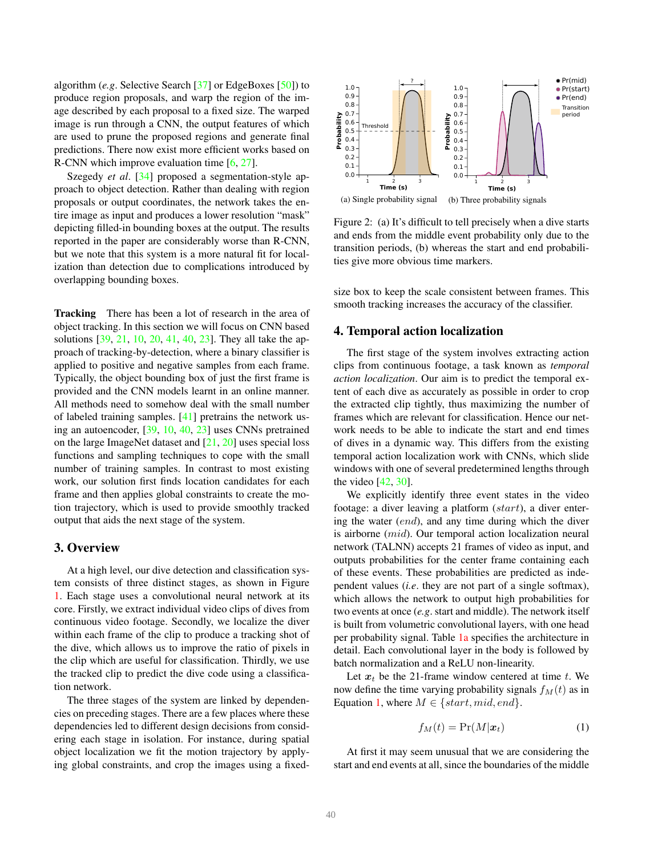algorithm (*e.g*. Selective Search [\[37\]](#page-9-14) or EdgeBoxes [\[50\]](#page-10-1)) to produce region proposals, and warp the region of the image described by each proposal to a fixed size. The warped image is run through a CNN, the output features of which are used to prune the proposed regions and generate final predictions. There now exist more efficient works based on R-CNN which improve evaluation time [\[6,](#page-8-15) [27\]](#page-9-15).

Szegedy *et al*. [\[34\]](#page-9-16) proposed a segmentation-style approach to object detection. Rather than dealing with region proposals or output coordinates, the network takes the entire image as input and produces a lower resolution "mask" depicting filled-in bounding boxes at the output. The results reported in the paper are considerably worse than R-CNN, but we note that this system is a more natural fit for localization than detection due to complications introduced by overlapping bounding boxes.

Tracking There has been a lot of research in the area of object tracking. In this section we will focus on CNN based solutions [\[39,](#page-9-17) [21,](#page-8-16) [10,](#page-8-17) [20,](#page-8-18) [41,](#page-9-18) [40,](#page-9-19) [23\]](#page-8-19). They all take the approach of tracking-by-detection, where a binary classifier is applied to positive and negative samples from each frame. Typically, the object bounding box of just the first frame is provided and the CNN models learnt in an online manner. All methods need to somehow deal with the small number of labeled training samples. [\[41\]](#page-9-18) pretrains the network using an autoencoder, [\[39,](#page-9-17) [10,](#page-8-17) [40,](#page-9-19) [23\]](#page-8-19) uses CNNs pretrained on the large ImageNet dataset and [\[21,](#page-8-16) [20\]](#page-8-18) uses special loss functions and sampling techniques to cope with the small number of training samples. In contrast to most existing work, our solution first finds location candidates for each frame and then applies global constraints to create the motion trajectory, which is used to provide smoothly tracked output that aids the next stage of the system.

### 3. Overview

At a high level, our dive detection and classification system consists of three distinct stages, as shown in Figure [1.](#page-0-0) Each stage uses a convolutional neural network at its core. Firstly, we extract individual video clips of dives from continuous video footage. Secondly, we localize the diver within each frame of the clip to produce a tracking shot of the dive, which allows us to improve the ratio of pixels in the clip which are useful for classification. Thirdly, we use the tracked clip to predict the dive code using a classification network.

The three stages of the system are linked by dependencies on preceding stages. There are a few places where these dependencies led to different design decisions from considering each stage in isolation. For instance, during spatial object localization we fit the motion trajectory by applying global constraints, and crop the images using a fixed-

<span id="page-2-2"></span><span id="page-2-1"></span>

Figure 2: (a) It's difficult to tell precisely when a dive starts and ends from the middle event probability only due to the transition periods, (b) whereas the start and end probabilities give more obvious time markers.

size box to keep the scale consistent between frames. This smooth tracking increases the accuracy of the classifier.

### <span id="page-2-3"></span>4. Temporal action localization

The first stage of the system involves extracting action clips from continuous footage, a task known as *temporal action localization*. Our aim is to predict the temporal extent of each dive as accurately as possible in order to crop the extracted clip tightly, thus maximizing the number of frames which are relevant for classification. Hence our network needs to be able to indicate the start and end times of dives in a dynamic way. This differs from the existing temporal action localization work with CNNs, which slide windows with one of several predetermined lengths through the video  $[42, 30]$  $[42, 30]$ .

We explicitly identify three event states in the video footage: a diver leaving a platform (start), a diver entering the water (end), and any time during which the diver is airborne (mid). Our temporal action localization neural network (TALNN) accepts 21 frames of video as input, and outputs probabilities for the center frame containing each of these events. These probabilities are predicted as independent values (*i.e*. they are not part of a single softmax), which allows the network to output high probabilities for two events at once (*e.g*. start and middle). The network itself is built from volumetric convolutional layers, with one head per probability signal. Table [1a](#page-3-0) specifies the architecture in detail. Each convolutional layer in the body is followed by batch normalization and a ReLU non-linearity.

Let  $x_t$  be the 21-frame window centered at time t. We now define the time varying probability signals  $f<sub>M</sub>(t)$  as in Equation [1,](#page-2-0) where  $M \in \{start, mid, end\}$ .

<span id="page-2-0"></span>
$$
f_M(t) = \Pr(M|\boldsymbol{x}_t) \tag{1}
$$

At first it may seem unusual that we are considering the start and end events at all, since the boundaries of the middle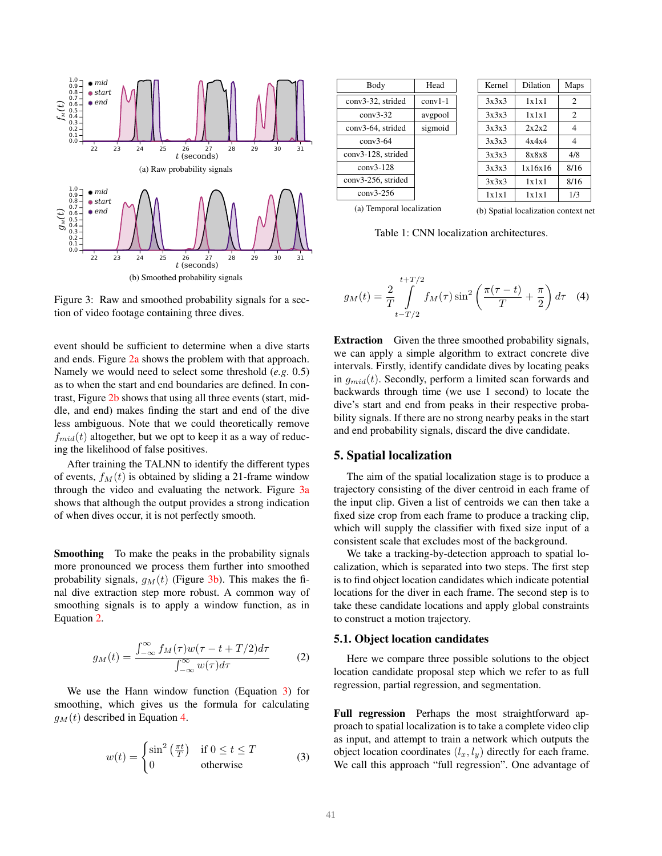<span id="page-3-2"></span><span id="page-3-1"></span>

Figure 3: Raw and smoothed probability signals for a section of video footage containing three dives.

event should be sufficient to determine when a dive starts and ends. Figure [2a](#page-2-1) shows the problem with that approach. Namely we would need to select some threshold (*e.g*. 0.5) as to when the start and end boundaries are defined. In contrast, Figure [2b](#page-2-2) shows that using all three events (start, middle, and end) makes finding the start and end of the dive less ambiguous. Note that we could theoretically remove  $f_{mid}(t)$  altogether, but we opt to keep it as a way of reducing the likelihood of false positives.

After training the TALNN to identify the different types of events,  $f<sub>M</sub>(t)$  is obtained by sliding a 21-frame window through the video and evaluating the network. Figure [3a](#page-3-1) shows that although the output provides a strong indication of when dives occur, it is not perfectly smooth.

Smoothing To make the peaks in the probability signals more pronounced we process them further into smoothed probability signals,  $g_M(t)$  (Figure [3b\)](#page-3-2). This makes the final dive extraction step more robust. A common way of smoothing signals is to apply a window function, as in Equation [2.](#page-3-3)

<span id="page-3-3"></span>
$$
g_M(t) = \frac{\int_{-\infty}^{\infty} f_M(\tau) w(\tau - t + T/2) d\tau}{\int_{-\infty}^{\infty} w(\tau) d\tau}
$$
 (2)

We use the Hann window function (Equation [3\)](#page-3-4) for smoothing, which gives us the formula for calculating  $g_M(t)$  described in Equation [4.](#page-3-5)

<span id="page-3-4"></span>
$$
w(t) = \begin{cases} \sin^2\left(\frac{\pi t}{T}\right) & \text{if } 0 \le t \le T \\ 0 & \text{otherwise} \end{cases}
$$
 (3)

<span id="page-3-0"></span>

| Body                      | Head    |
|---------------------------|---------|
| conv3-32, strided         | conv1-1 |
| $conv3-32$                | avgpool |
| conv3-64, strided         | sigmoid |
| $conv3-64$                |         |
| conv3-128, strided        |         |
| conv3-128                 |         |
| conv3-256, strided        |         |
| conv3-256                 |         |
| (a) Temporal localization |         |

<span id="page-3-6"></span>

| Kernel | Dilation | Maps           |
|--------|----------|----------------|
| 3x3x3  | 1x1x1    | $\overline{c}$ |
| 3x3x3  | 1x1x1    | $\overline{c}$ |
| 3x3x3  | 2x2x2    | 4              |
| 3x3x3  | 4x4x4    | 4              |
| 3x3x3  | 8x8x8    | 4/8            |
| 3x3x3  | 1x16x16  | 8/16           |
| 3x3x3  | 1x1x1    | 8/16           |
| 1x1x1  | 1x1x1    | 1/3            |

(a) Temporal localization

(b) Spatial localization context net

Table 1: CNN localization architectures.

<span id="page-3-5"></span>
$$
g_M(t) = \frac{2}{T} \int_{t-T/2}^{t+T/2} f_M(\tau) \sin^2\left(\frac{\pi(\tau - t)}{T} + \frac{\pi}{2}\right) d\tau \quad (4)
$$

Extraction Given the three smoothed probability signals, we can apply a simple algorithm to extract concrete dive intervals. Firstly, identify candidate dives by locating peaks in  $q_{mid}(t)$ . Secondly, perform a limited scan forwards and backwards through time (we use 1 second) to locate the dive's start and end from peaks in their respective probability signals. If there are no strong nearby peaks in the start and end probability signals, discard the dive candidate.

# 5. Spatial localization

The aim of the spatial localization stage is to produce a trajectory consisting of the diver centroid in each frame of the input clip. Given a list of centroids we can then take a fixed size crop from each frame to produce a tracking clip, which will supply the classifier with fixed size input of a consistent scale that excludes most of the background.

We take a tracking-by-detection approach to spatial localization, which is separated into two steps. The first step is to find object location candidates which indicate potential locations for the diver in each frame. The second step is to take these candidate locations and apply global constraints to construct a motion trajectory.

### 5.1. Object location candidates

Here we compare three possible solutions to the object location candidate proposal step which we refer to as full regression, partial regression, and segmentation.

Full regression Perhaps the most straightforward approach to spatial localization is to take a complete video clip as input, and attempt to train a network which outputs the object location coordinates  $(l_x, l_y)$  directly for each frame. We call this approach "full regression". One advantage of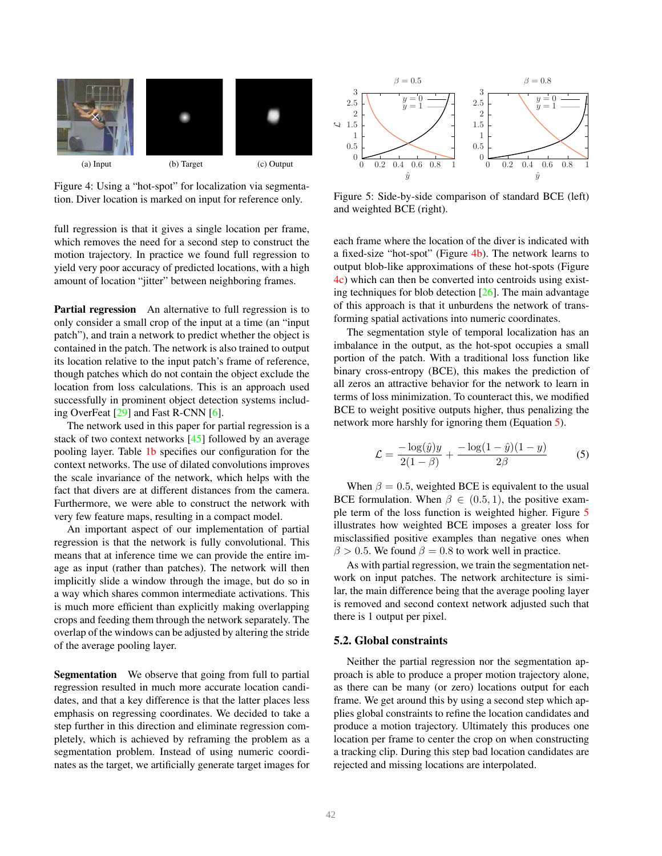<span id="page-4-0"></span>

Figure 4: Using a "hot-spot" for localization via segmentation. Diver location is marked on input for reference only.

full regression is that it gives a single location per frame, which removes the need for a second step to construct the motion trajectory. In practice we found full regression to yield very poor accuracy of predicted locations, with a high amount of location "jitter" between neighboring frames.

Partial regression An alternative to full regression is to only consider a small crop of the input at a time (an "input patch"), and train a network to predict whether the object is contained in the patch. The network is also trained to output its location relative to the input patch's frame of reference, though patches which do not contain the object exclude the location from loss calculations. This is an approach used successfully in prominent object detection systems including OverFeat [\[29\]](#page-9-13) and Fast R-CNN [\[6\]](#page-8-15).

The network used in this paper for partial regression is a stack of two context networks [\[45\]](#page-9-20) followed by an average pooling layer. Table [1b](#page-3-6) specifies our configuration for the context networks. The use of dilated convolutions improves the scale invariance of the network, which helps with the fact that divers are at different distances from the camera. Furthermore, we were able to construct the network with very few feature maps, resulting in a compact model.

An important aspect of our implementation of partial regression is that the network is fully convolutional. This means that at inference time we can provide the entire image as input (rather than patches). The network will then implicitly slide a window through the image, but do so in a way which shares common intermediate activations. This is much more efficient than explicitly making overlapping crops and feeding them through the network separately. The overlap of the windows can be adjusted by altering the stride of the average pooling layer.

Segmentation We observe that going from full to partial regression resulted in much more accurate location candidates, and that a key difference is that the latter places less emphasis on regressing coordinates. We decided to take a step further in this direction and eliminate regression completely, which is achieved by reframing the problem as a segmentation problem. Instead of using numeric coordinates as the target, we artificially generate target images for

<span id="page-4-3"></span><span id="page-4-1"></span>

Figure 5: Side-by-side comparison of standard BCE (left) and weighted BCE (right).

each frame where the location of the diver is indicated with a fixed-size "hot-spot" (Figure [4b\)](#page-4-0). The network learns to output blob-like approximations of these hot-spots (Figure [4c\)](#page-4-1) which can then be converted into centroids using existing techniques for blob detection [\[26\]](#page-9-21). The main advantage of this approach is that it unburdens the network of transforming spatial activations into numeric coordinates.

The segmentation style of temporal localization has an imbalance in the output, as the hot-spot occupies a small portion of the patch. With a traditional loss function like binary cross-entropy (BCE), this makes the prediction of all zeros an attractive behavior for the network to learn in terms of loss minimization. To counteract this, we modified BCE to weight positive outputs higher, thus penalizing the network more harshly for ignoring them (Equation [5\)](#page-4-2).

<span id="page-4-2"></span>
$$
\mathcal{L} = \frac{-\log(\hat{y})y}{2(1-\beta)} + \frac{-\log(1-\hat{y})(1-y)}{2\beta} \tag{5}
$$

When  $\beta = 0.5$ , weighted BCE is equivalent to the usual BCE formulation. When  $\beta \in (0.5, 1)$ , the positive example term of the loss function is weighted higher. Figure [5](#page-4-3) illustrates how weighted BCE imposes a greater loss for misclassified positive examples than negative ones when  $\beta > 0.5$ . We found  $\beta = 0.8$  to work well in practice.

As with partial regression, we train the segmentation network on input patches. The network architecture is similar, the main difference being that the average pooling layer is removed and second context network adjusted such that there is 1 output per pixel.

#### 5.2. Global constraints

Neither the partial regression nor the segmentation approach is able to produce a proper motion trajectory alone, as there can be many (or zero) locations output for each frame. We get around this by using a second step which applies global constraints to refine the location candidates and produce a motion trajectory. Ultimately this produces one location per frame to center the crop on when constructing a tracking clip. During this step bad location candidates are rejected and missing locations are interpolated.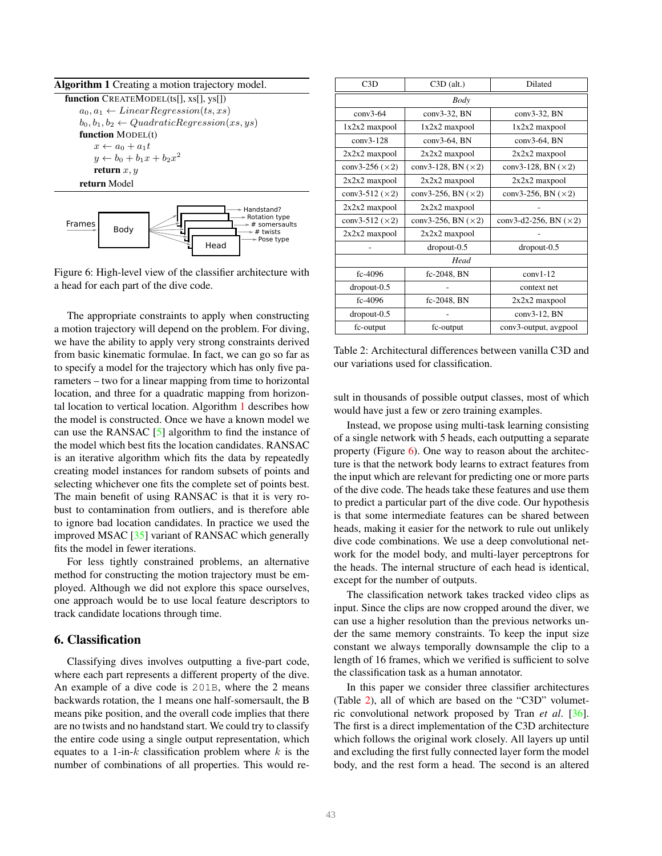<span id="page-5-0"></span>

| Algorithm 1 Creating a motion trajectory model.         |
|---------------------------------------------------------|
| <b>function</b> $CREATEMODEL(ts[1, xs[1, vs[1])$        |
| $a_0, a_1 \leftarrow LinearRegression(ts, xs)$          |
| $b_0, b_1, b_2 \leftarrow Quadratic Regression(xs, ys)$ |
| <b>function</b> MODEL(t)                                |
| $x \leftarrow a_0 + a_1 t$                              |
| $y \leftarrow b_0 + b_1 x + b_2 x^2$                    |
| return $x, y$                                           |
| return Model                                            |
|                                                         |

<span id="page-5-1"></span>

Figure 6: High-level view of the classifier architecture with a head for each part of the dive code.

The appropriate constraints to apply when constructing a motion trajectory will depend on the problem. For diving, we have the ability to apply very strong constraints derived from basic kinematic formulae. In fact, we can go so far as to specify a model for the trajectory which has only five parameters – two for a linear mapping from time to horizontal location, and three for a quadratic mapping from horizontal location to vertical location. Algorithm [1](#page-5-0) describes how the model is constructed. Once we have a known model we can use the RANSAC [\[5\]](#page-8-20) algorithm to find the instance of the model which best fits the location candidates. RANSAC is an iterative algorithm which fits the data by repeatedly creating model instances for random subsets of points and selecting whichever one fits the complete set of points best. The main benefit of using RANSAC is that it is very robust to contamination from outliers, and is therefore able to ignore bad location candidates. In practice we used the improved MSAC [\[35\]](#page-9-22) variant of RANSAC which generally fits the model in fewer iterations.

For less tightly constrained problems, an alternative method for constructing the motion trajectory must be employed. Although we did not explore this space ourselves, one approach would be to use local feature descriptors to track candidate locations through time.

# 6. Classification

Classifying dives involves outputting a five-part code, where each part represents a different property of the dive. An example of a dive code is 201B, where the 2 means backwards rotation, the 1 means one half-somersault, the B means pike position, and the overall code implies that there are no twists and no handstand start. We could try to classify the entire code using a single output representation, which equates to a 1-in- $k$  classification problem where  $k$  is the number of combinations of all properties. This would re-

<span id="page-5-2"></span>

| C3D                    | $C3D$ (alt.)               | Dilated                       |  |
|------------------------|----------------------------|-------------------------------|--|
| Body                   |                            |                               |  |
| $conv3-64$             | conv3-32, BN               | $conv3-32$ , BN               |  |
| $1x2x2$ maxpool        | $1x2x2$ maxpool            | $1x2x2$ maxpool               |  |
| $conv3-128$            | $conv3-64$ , BN            | conv3-64, BN                  |  |
| $2x2x2$ maxpool        | $2x2x2$ maxpool            | $2x2x2$ maxpool               |  |
| conv3-256 $(\times 2)$ | conv3-128, BN $(\times 2)$ | conv3-128, BN $(\times 2)$    |  |
| $2x2x2$ maxpool        | $2x2x2$ maxpool            | $2x2x2$ maxpool               |  |
| conv3-512 $(\times 2)$ | conv3-256, BN $(\times 2)$ | conv3-256, BN $(\times 2)$    |  |
| $2x2x2$ maxpool        | $2x2x2$ maxpool            |                               |  |
| conv3-512 $(\times 2)$ | conv3-256, BN $(\times 2)$ | conv3-d2-256, BN $(\times 2)$ |  |
| $2x2x2$ maxpool        | $2x2x2$ maxpool            |                               |  |
|                        | $dropout-0.5$              | $dropout-0.5$                 |  |
| Head                   |                            |                               |  |
| fc-4096                | fc-2048, BN                | $conv1-12$                    |  |
| $dropout-0.5$          |                            | context net                   |  |
| fc-4096                | fc-2048, BN                | $2x2x2$ maxpool               |  |
| $dropout-0.5$          |                            | $conv3-12$ , BN               |  |
| fc-output              | fc-output                  | conv3-output, avgpool         |  |

Table 2: Architectural differences between vanilla C3D and our variations used for classification.

sult in thousands of possible output classes, most of which would have just a few or zero training examples.

Instead, we propose using multi-task learning consisting of a single network with 5 heads, each outputting a separate property (Figure  $6$ ). One way to reason about the architecture is that the network body learns to extract features from the input which are relevant for predicting one or more parts of the dive code. The heads take these features and use them to predict a particular part of the dive code. Our hypothesis is that some intermediate features can be shared between heads, making it easier for the network to rule out unlikely dive code combinations. We use a deep convolutional network for the model body, and multi-layer perceptrons for the heads. The internal structure of each head is identical, except for the number of outputs.

The classification network takes tracked video clips as input. Since the clips are now cropped around the diver, we can use a higher resolution than the previous networks under the same memory constraints. To keep the input size constant we always temporally downsample the clip to a length of 16 frames, which we verified is sufficient to solve the classification task as a human annotator.

In this paper we consider three classifier architectures (Table [2\)](#page-5-2), all of which are based on the "C3D" volumetric convolutional network proposed by Tran *et al*. [\[36\]](#page-9-5). The first is a direct implementation of the C3D architecture which follows the original work closely. All layers up until and excluding the first fully connected layer form the model body, and the rest form a head. The second is an altered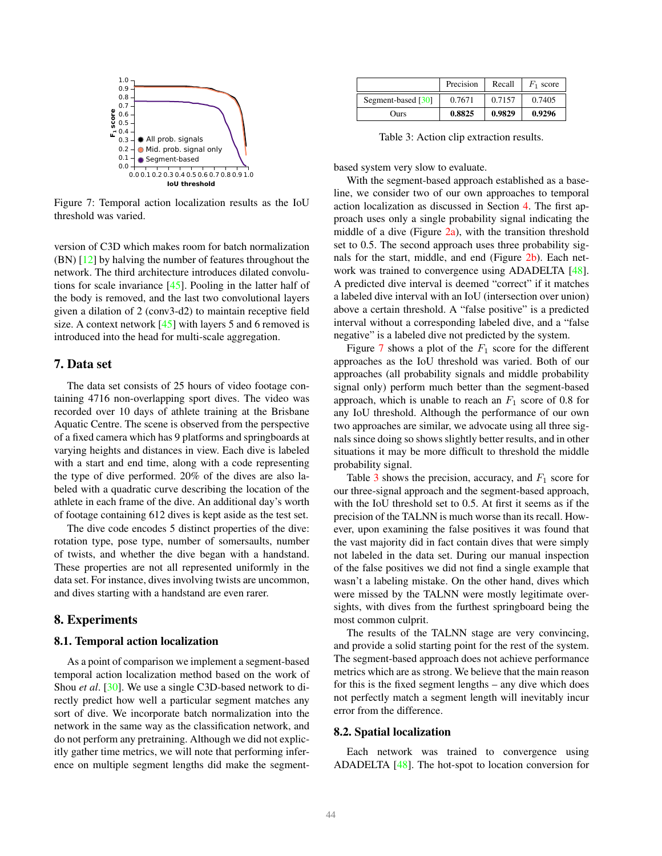<span id="page-6-0"></span>

Figure 7: Temporal action localization results as the IoU threshold was varied.

version of C3D which makes room for batch normalization (BN) [\[12\]](#page-8-21) by halving the number of features throughout the network. The third architecture introduces dilated convolutions for scale invariance [\[45\]](#page-9-20). Pooling in the latter half of the body is removed, and the last two convolutional layers given a dilation of 2 (conv3-d2) to maintain receptive field size. A context network [\[45\]](#page-9-20) with layers 5 and 6 removed is introduced into the head for multi-scale aggregation.

# 7. Data set

The data set consists of 25 hours of video footage containing 4716 non-overlapping sport dives. The video was recorded over 10 days of athlete training at the Brisbane Aquatic Centre. The scene is observed from the perspective of a fixed camera which has 9 platforms and springboards at varying heights and distances in view. Each dive is labeled with a start and end time, along with a code representing the type of dive performed. 20% of the dives are also labeled with a quadratic curve describing the location of the athlete in each frame of the dive. An additional day's worth of footage containing 612 dives is kept aside as the test set.

The dive code encodes 5 distinct properties of the dive: rotation type, pose type, number of somersaults, number of twists, and whether the dive began with a handstand. These properties are not all represented uniformly in the data set. For instance, dives involving twists are uncommon, and dives starting with a handstand are even rarer.

# 8. Experiments

#### 8.1. Temporal action localization

As a point of comparison we implement a segment-based temporal action localization method based on the work of Shou *et al*. [\[30\]](#page-9-11). We use a single C3D-based network to directly predict how well a particular segment matches any sort of dive. We incorporate batch normalization into the network in the same way as the classification network, and do not perform any pretraining. Although we did not explicitly gather time metrics, we will note that performing inference on multiple segment lengths did make the segment-

<span id="page-6-1"></span>

|                    | Precision | Recall | $F_1$ score |
|--------------------|-----------|--------|-------------|
| Segment-based [30] | 0.7671    | 0.7157 | 0.7405      |
| Ours               | 0.8825    | 0.9829 | 0.9296      |

Table 3: Action clip extraction results.

based system very slow to evaluate.

With the segment-based approach established as a baseline, we consider two of our own approaches to temporal action localization as discussed in Section [4.](#page-2-3) The first approach uses only a single probability signal indicating the middle of a dive (Figure  $2a$ ), with the transition threshold set to 0.5. The second approach uses three probability signals for the start, middle, and end (Figure [2b\)](#page-2-2). Each network was trained to convergence using ADADELTA [\[48\]](#page-10-2). A predicted dive interval is deemed "correct" if it matches a labeled dive interval with an IoU (intersection over union) above a certain threshold. A "false positive" is a predicted interval without a corresponding labeled dive, and a "false negative" is a labeled dive not predicted by the system.

Figure [7](#page-6-0) shows a plot of the  $F_1$  score for the different approaches as the IoU threshold was varied. Both of our approaches (all probability signals and middle probability signal only) perform much better than the segment-based approach, which is unable to reach an  $F_1$  score of 0.8 for any IoU threshold. Although the performance of our own two approaches are similar, we advocate using all three signals since doing so shows slightly better results, and in other situations it may be more difficult to threshold the middle probability signal.

Table [3](#page-6-1) shows the precision, accuracy, and  $F_1$  score for our three-signal approach and the segment-based approach, with the IoU threshold set to 0.5. At first it seems as if the precision of the TALNN is much worse than its recall. However, upon examining the false positives it was found that the vast majority did in fact contain dives that were simply not labeled in the data set. During our manual inspection of the false positives we did not find a single example that wasn't a labeling mistake. On the other hand, dives which were missed by the TALNN were mostly legitimate oversights, with dives from the furthest springboard being the most common culprit.

The results of the TALNN stage are very convincing, and provide a solid starting point for the rest of the system. The segment-based approach does not achieve performance metrics which are as strong. We believe that the main reason for this is the fixed segment lengths – any dive which does not perfectly match a segment length will inevitably incur error from the difference.

#### 8.2. Spatial localization

Each network was trained to convergence using ADADELTA [\[48\]](#page-10-2). The hot-spot to location conversion for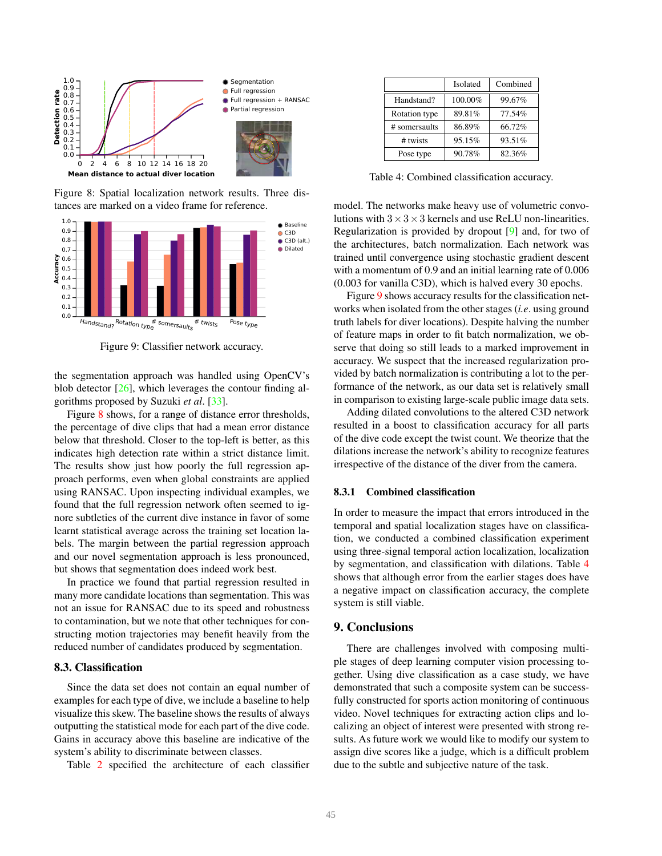<span id="page-7-0"></span>

Figure 8: Spatial localization network results. Three distances are marked on a video frame for reference.

<span id="page-7-1"></span>

Figure 9: Classifier network accuracy.

the segmentation approach was handled using OpenCV's blob detector  $[26]$ , which leverages the contour finding algorithms proposed by Suzuki *et al*. [\[33\]](#page-9-23).

Figure [8](#page-7-0) shows, for a range of distance error thresholds, the percentage of dive clips that had a mean error distance below that threshold. Closer to the top-left is better, as this indicates high detection rate within a strict distance limit. The results show just how poorly the full regression approach performs, even when global constraints are applied using RANSAC. Upon inspecting individual examples, we found that the full regression network often seemed to ignore subtleties of the current dive instance in favor of some learnt statistical average across the training set location labels. The margin between the partial regression approach and our novel segmentation approach is less pronounced, but shows that segmentation does indeed work best.

In practice we found that partial regression resulted in many more candidate locations than segmentation. This was not an issue for RANSAC due to its speed and robustness to contamination, but we note that other techniques for constructing motion trajectories may benefit heavily from the reduced number of candidates produced by segmentation.

### 8.3. Classification

Since the data set does not contain an equal number of examples for each type of dive, we include a baseline to help visualize this skew. The baseline shows the results of always outputting the statistical mode for each part of the dive code. Gains in accuracy above this baseline are indicative of the system's ability to discriminate between classes.

Table [2](#page-5-2) specified the architecture of each classifier

<span id="page-7-2"></span>

|               | Isolated | Combined |
|---------------|----------|----------|
| Handstand?    | 100.00%  | 99.67%   |
| Rotation type | 89.81%   | 77.54%   |
| # somersaults | 86.89%   | 66.72%   |
| # twists      | 95.15%   | 93.51%   |
| Pose type     | 90.78%   | 82.36%   |

Table 4: Combined classification accuracy.

model. The networks make heavy use of volumetric convolutions with  $3 \times 3 \times 3$  kernels and use ReLU non-linearities. Regularization is provided by dropout [\[9\]](#page-8-22) and, for two of the architectures, batch normalization. Each network was trained until convergence using stochastic gradient descent with a momentum of 0.9 and an initial learning rate of 0.006 (0.003 for vanilla C3D), which is halved every 30 epochs.

Figure [9](#page-7-1) shows accuracy results for the classification networks when isolated from the other stages (*i.e*. using ground truth labels for diver locations). Despite halving the number of feature maps in order to fit batch normalization, we observe that doing so still leads to a marked improvement in accuracy. We suspect that the increased regularization provided by batch normalization is contributing a lot to the performance of the network, as our data set is relatively small in comparison to existing large-scale public image data sets.

Adding dilated convolutions to the altered C3D network resulted in a boost to classification accuracy for all parts of the dive code except the twist count. We theorize that the dilations increase the network's ability to recognize features irrespective of the distance of the diver from the camera.

#### 8.3.1 Combined classification

In order to measure the impact that errors introduced in the temporal and spatial localization stages have on classification, we conducted a combined classification experiment using three-signal temporal action localization, localization by segmentation, and classification with dilations. Table [4](#page-7-2) shows that although error from the earlier stages does have a negative impact on classification accuracy, the complete system is still viable.

# 9. Conclusions

There are challenges involved with composing multiple stages of deep learning computer vision processing together. Using dive classification as a case study, we have demonstrated that such a composite system can be successfully constructed for sports action monitoring of continuous video. Novel techniques for extracting action clips and localizing an object of interest were presented with strong results. As future work we would like to modify our system to assign dive scores like a judge, which is a difficult problem due to the subtle and subjective nature of the task.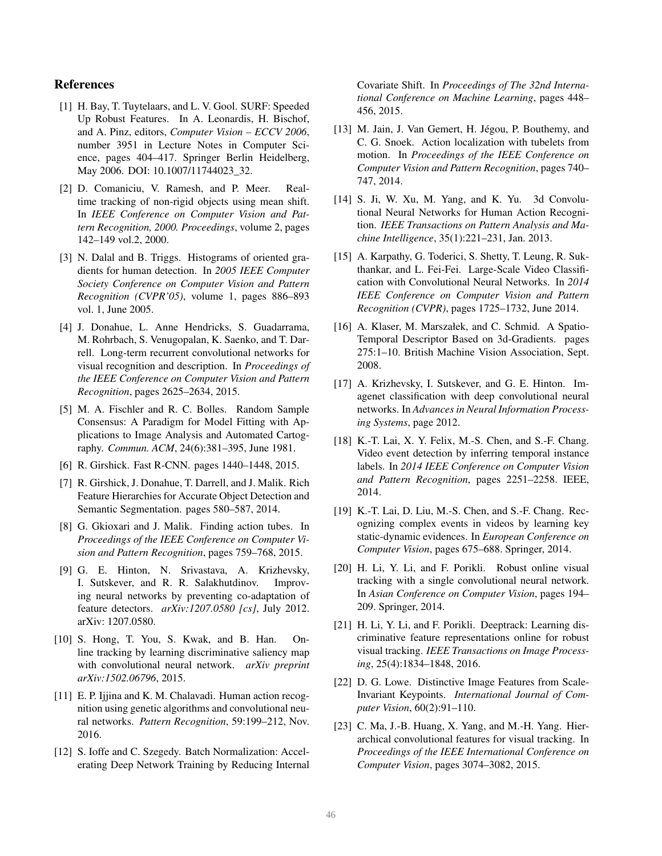# References

- <span id="page-8-6"></span>[1] H. Bay, T. Tuytelaars, and L. V. Gool. SURF: Speeded Up Robust Features. In A. Leonardis, H. Bischof, and A. Pinz, editors, *Computer Vision – ECCV 2006*, number 3951 in Lecture Notes in Computer Science, pages 404–417. Springer Berlin Heidelberg, May 2006. DOI: 10.1007/11744023 32.
- <span id="page-8-2"></span>[2] D. Comaniciu, V. Ramesh, and P. Meer. Realtime tracking of non-rigid objects using mean shift. In *IEEE Conference on Computer Vision and Pattern Recognition, 2000. Proceedings*, volume 2, pages 142–149 vol.2, 2000.
- <span id="page-8-5"></span>[3] N. Dalal and B. Triggs. Histograms of oriented gradients for human detection. In *2005 IEEE Computer Society Conference on Computer Vision and Pattern Recognition (CVPR'05)*, volume 1, pages 886–893 vol. 1, June 2005.
- <span id="page-8-9"></span>[4] J. Donahue, L. Anne Hendricks, S. Guadarrama, M. Rohrbach, S. Venugopalan, K. Saenko, and T. Darrell. Long-term recurrent convolutional networks for visual recognition and description. In *Proceedings of the IEEE Conference on Computer Vision and Pattern Recognition*, pages 2625–2634, 2015.
- <span id="page-8-20"></span>[5] M. A. Fischler and R. C. Bolles. Random Sample Consensus: A Paradigm for Model Fitting with Applications to Image Analysis and Automated Cartography. *Commun. ACM*, 24(6):381–395, June 1981.
- <span id="page-8-15"></span>[6] R. Girshick. Fast R-CNN. pages 1440–1448, 2015.
- <span id="page-8-14"></span>[7] R. Girshick, J. Donahue, T. Darrell, and J. Malik. Rich Feature Hierarchies for Accurate Object Detection and Semantic Segmentation. pages 580–587, 2014.
- <span id="page-8-13"></span>[8] G. Gkioxari and J. Malik. Finding action tubes. In *Proceedings of the IEEE Conference on Computer Vision and Pattern Recognition*, pages 759–768, 2015.
- <span id="page-8-22"></span>[9] G. E. Hinton, N. Srivastava, A. Krizhevsky, I. Sutskever, and R. R. Salakhutdinov. Improving neural networks by preventing co-adaptation of feature detectors. *arXiv:1207.0580 [cs]*, July 2012. arXiv: 1207.0580.
- <span id="page-8-17"></span>[10] S. Hong, T. You, S. Kwak, and B. Han. Online tracking by learning discriminative saliency map with convolutional neural network. *arXiv preprint arXiv:1502.06796*, 2015.
- <span id="page-8-1"></span>[11] E. P. Ijjina and K. M. Chalavadi. Human action recognition using genetic algorithms and convolutional neural networks. *Pattern Recognition*, 59:199–212, Nov. 2016.
- <span id="page-8-21"></span>[12] S. Ioffe and C. Szegedy. Batch Normalization: Accelerating Deep Network Training by Reducing Internal

Covariate Shift. In *Proceedings of The 32nd International Conference on Machine Learning*, pages 448– 456, 2015.

- <span id="page-8-12"></span>[13] M. Jain, J. Van Gemert, H. Jégou, P. Bouthemy, and C. G. Snoek. Action localization with tubelets from motion. In *Proceedings of the IEEE Conference on Computer Vision and Pattern Recognition*, pages 740– 747, 2014.
- <span id="page-8-0"></span>[14] S. Ji, W. Xu, M. Yang, and K. Yu. 3d Convolutional Neural Networks for Human Action Recognition. *IEEE Transactions on Pattern Analysis and Machine Intelligence*, 35(1):221–231, Jan. 2013.
- <span id="page-8-3"></span>[15] A. Karpathy, G. Toderici, S. Shetty, T. Leung, R. Sukthankar, and L. Fei-Fei. Large-Scale Video Classification with Convolutional Neural Networks. In *2014 IEEE Conference on Computer Vision and Pattern Recognition (CVPR)*, pages 1725–1732, June 2014.
- <span id="page-8-4"></span>[16] A. Klaser, M. Marszałek, and C. Schmid. A Spatio-Temporal Descriptor Based on 3d-Gradients. pages 275:1–10. British Machine Vision Association, Sept. 2008.
- <span id="page-8-8"></span>[17] A. Krizhevsky, I. Sutskever, and G. E. Hinton. Imagenet classification with deep convolutional neural networks. In *Advances in Neural Information Processing Systems*, page 2012.
- <span id="page-8-11"></span>[18] K.-T. Lai, X. Y. Felix, M.-S. Chen, and S.-F. Chang. Video event detection by inferring temporal instance labels. In *2014 IEEE Conference on Computer Vision and Pattern Recognition*, pages 2251–2258. IEEE, 2014.
- <span id="page-8-10"></span>[19] K.-T. Lai, D. Liu, M.-S. Chen, and S.-F. Chang. Recognizing complex events in videos by learning key static-dynamic evidences. In *European Conference on Computer Vision*, pages 675–688. Springer, 2014.
- <span id="page-8-18"></span>[20] H. Li, Y. Li, and F. Porikli. Robust online visual tracking with a single convolutional neural network. In *Asian Conference on Computer Vision*, pages 194– 209. Springer, 2014.
- <span id="page-8-16"></span>[21] H. Li, Y. Li, and F. Porikli. Deeptrack: Learning discriminative feature representations online for robust visual tracking. *IEEE Transactions on Image Processing*, 25(4):1834–1848, 2016.
- <span id="page-8-7"></span>[22] D. G. Lowe. Distinctive Image Features from Scale-Invariant Keypoints. *International Journal of Computer Vision*, 60(2):91–110.
- <span id="page-8-19"></span>[23] C. Ma, J.-B. Huang, X. Yang, and M.-H. Yang. Hierarchical convolutional features for visual tracking. In *Proceedings of the IEEE International Conference on Computer Vision*, pages 3074–3082, 2015.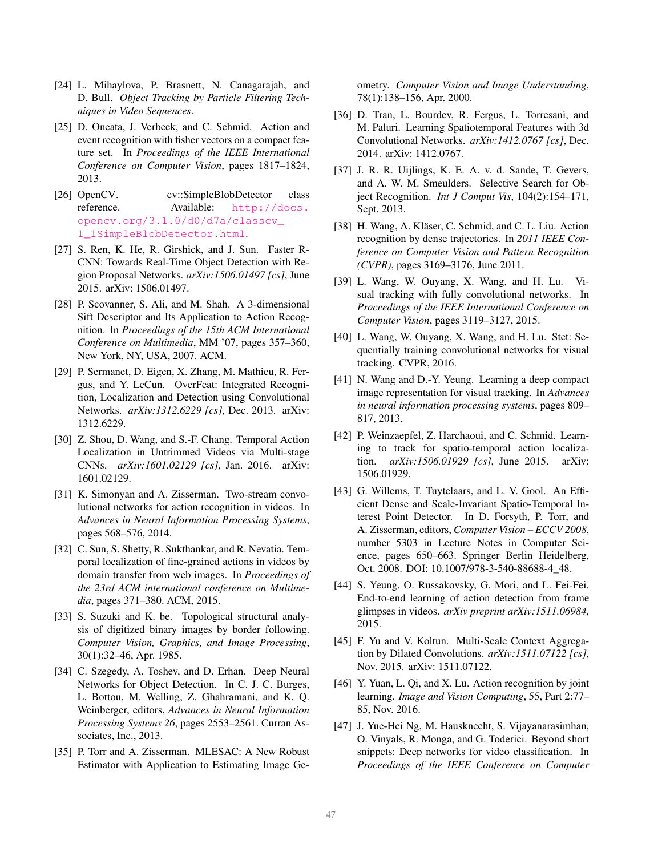- <span id="page-9-3"></span>[24] L. Mihaylova, P. Brasnett, N. Canagarajah, and D. Bull. *Object Tracking by Particle Filtering Techniques in Video Sequences*.
- <span id="page-9-9"></span>[25] D. Oneata, J. Verbeek, and C. Schmid. Action and event recognition with fisher vectors on a compact feature set. In *Proceedings of the IEEE International Conference on Computer Vision*, pages 1817–1824, 2013.
- <span id="page-9-21"></span>[26] OpenCV. cv::SimpleBlobDetector class reference. Available: [http://docs.](http://docs.opencv.org/3.1.0/d0/d7a/classcv_1_1SimpleBlobDetector.html) [opencv.org/3.1.0/d0/d7a/classcv\\_](http://docs.opencv.org/3.1.0/d0/d7a/classcv_1_1SimpleBlobDetector.html) [1\\_1SimpleBlobDetector.html](http://docs.opencv.org/3.1.0/d0/d7a/classcv_1_1SimpleBlobDetector.html).
- <span id="page-9-15"></span>[27] S. Ren, K. He, R. Girshick, and J. Sun. Faster R-CNN: Towards Real-Time Object Detection with Region Proposal Networks. *arXiv:1506.01497 [cs]*, June 2015. arXiv: 1506.01497.
- <span id="page-9-0"></span>[28] P. Scovanner, S. Ali, and M. Shah. A 3-dimensional Sift Descriptor and Its Application to Action Recognition. In *Proceedings of the 15th ACM International Conference on Multimedia*, MM '07, pages 357–360, New York, NY, USA, 2007. ACM.
- <span id="page-9-13"></span>[29] P. Sermanet, D. Eigen, X. Zhang, M. Mathieu, R. Fergus, and Y. LeCun. OverFeat: Integrated Recognition, Localization and Detection using Convolutional Networks. *arXiv:1312.6229 [cs]*, Dec. 2013. arXiv: 1312.6229.
- <span id="page-9-11"></span>[30] Z. Shou, D. Wang, and S.-F. Chang. Temporal Action Localization in Untrimmed Videos via Multi-stage CNNs. *arXiv:1601.02129 [cs]*, Jan. 2016. arXiv: 1601.02129.
- <span id="page-9-6"></span>[31] K. Simonyan and A. Zisserman. Two-stream convolutional networks for action recognition in videos. In *Advances in Neural Information Processing Systems*, pages 568–576, 2014.
- <span id="page-9-12"></span>[32] C. Sun, S. Shetty, R. Sukthankar, and R. Nevatia. Temporal localization of fine-grained actions in videos by domain transfer from web images. In *Proceedings of the 23rd ACM international conference on Multimedia*, pages 371–380. ACM, 2015.
- <span id="page-9-23"></span>[33] S. Suzuki and K. be. Topological structural analysis of digitized binary images by border following. *Computer Vision, Graphics, and Image Processing*, 30(1):32–46, Apr. 1985.
- <span id="page-9-16"></span>[34] C. Szegedy, A. Toshev, and D. Erhan. Deep Neural Networks for Object Detection. In C. J. C. Burges, L. Bottou, M. Welling, Z. Ghahramani, and K. Q. Weinberger, editors, *Advances in Neural Information Processing Systems 26*, pages 2553–2561. Curran Associates, Inc., 2013.
- <span id="page-9-22"></span>[35] P. Torr and A. Zisserman. MLESAC: A New Robust Estimator with Application to Estimating Image Ge-

ometry. *Computer Vision and Image Understanding*, 78(1):138–156, Apr. 2000.

- <span id="page-9-5"></span>[36] D. Tran, L. Bourdev, R. Fergus, L. Torresani, and M. Paluri. Learning Spatiotemporal Features with 3d Convolutional Networks. *arXiv:1412.0767 [cs]*, Dec. 2014. arXiv: 1412.0767.
- <span id="page-9-14"></span>[37] J. R. R. Uijlings, K. E. A. v. d. Sande, T. Gevers, and A. W. M. Smeulders. Selective Search for Object Recognition. *Int J Comput Vis*, 104(2):154–171, Sept. 2013.
- <span id="page-9-1"></span>[38] H. Wang, A. Kläser, C. Schmid, and C. L. Liu. Action recognition by dense trajectories. In *2011 IEEE Conference on Computer Vision and Pattern Recognition (CVPR)*, pages 3169–3176, June 2011.
- <span id="page-9-17"></span>[39] L. Wang, W. Ouyang, X. Wang, and H. Lu. Visual tracking with fully convolutional networks. In *Proceedings of the IEEE International Conference on Computer Vision*, pages 3119–3127, 2015.
- <span id="page-9-19"></span>[40] L. Wang, W. Ouyang, X. Wang, and H. Lu. Stct: Sequentially training convolutional networks for visual tracking. CVPR, 2016.
- <span id="page-9-18"></span>[41] N. Wang and D.-Y. Yeung. Learning a deep compact image representation for visual tracking. In *Advances in neural information processing systems*, pages 809– 817, 2013.
- <span id="page-9-10"></span>[42] P. Weinzaepfel, Z. Harchaoui, and C. Schmid. Learning to track for spatio-temporal action localization. *arXiv:1506.01929 [cs]*, June 2015. arXiv: 1506.01929.
- <span id="page-9-4"></span>[43] G. Willems, T. Tuytelaars, and L. V. Gool. An Efficient Dense and Scale-Invariant Spatio-Temporal Interest Point Detector. In D. Forsyth, P. Torr, and A. Zisserman, editors, *Computer Vision – ECCV 2008*, number 5303 in Lecture Notes in Computer Science, pages 650–663. Springer Berlin Heidelberg, Oct. 2008. DOI: 10.1007/978-3-540-88688-4\_48.
- <span id="page-9-7"></span>[44] S. Yeung, O. Russakovsky, G. Mori, and L. Fei-Fei. End-to-end learning of action detection from frame glimpses in videos. *arXiv preprint arXiv:1511.06984*, 2015.
- <span id="page-9-20"></span>[45] F. Yu and V. Koltun. Multi-Scale Context Aggregation by Dilated Convolutions. *arXiv:1511.07122 [cs]*, Nov. 2015. arXiv: 1511.07122.
- <span id="page-9-2"></span>[46] Y. Yuan, L. Qi, and X. Lu. Action recognition by joint learning. *Image and Vision Computing*, 55, Part 2:77– 85, Nov. 2016.
- <span id="page-9-8"></span>[47] J. Yue-Hei Ng, M. Hausknecht, S. Vijayanarasimhan, O. Vinyals, R. Monga, and G. Toderici. Beyond short snippets: Deep networks for video classification. In *Proceedings of the IEEE Conference on Computer*